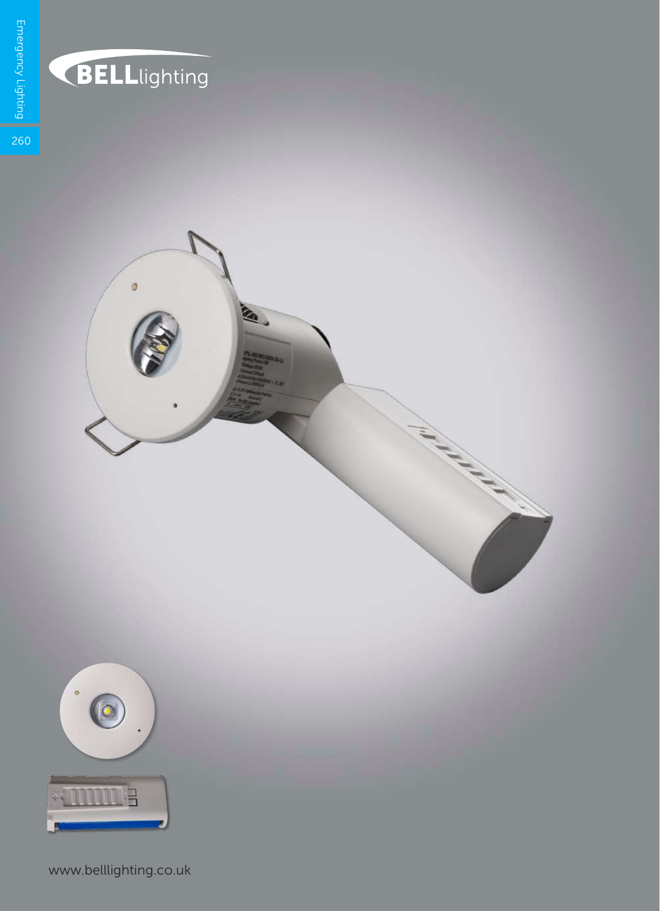

## **BELL**lighting

Ò

**CALL** 



www.belllighting.co.uk